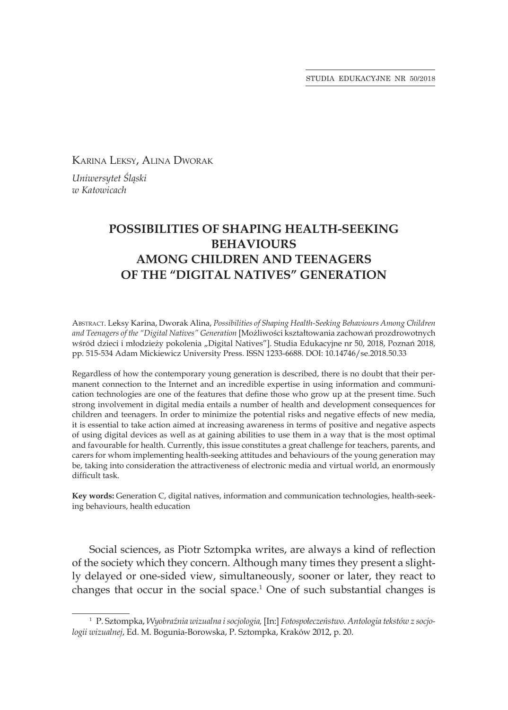STUDIA EDUKACYJNE NR 50/2018

Karina Leksy, Alina Dworak

*Uniwersytet Śląski w Katowicach*

## **POSSIBILITIES OF SHAPING HEALTH-SEEKING BEHAVIOURS AMONG CHILDREN AND TEENAGERS OF THE "DIGITAL NATIVES" GENERATION**

Abstract. Leksy Karina, Dworak Alina, *Possibilities of Shaping Health-Seeking Behaviours Among Children and Teenagers of the "Digital Natives" Generation* [Możliwości kształtowania zachowań prozdrowotnych wśród dzieci i młodzieży pokolenia "Digital Natives"]. Studia Edukacyjne nr 50, 2018, Poznań 2018, pp. 515-534 Adam Mickiewicz University Press. ISSN 1233-6688. DOI: 10.14746/se.2018.50.33

Regardless of how the contemporary young generation is described, there is no doubt that their permanent connection to the Internet and an incredible expertise in using information and communication technologies are one of the features that define those who grow up at the present time. Such strong involvement in digital media entails a number of health and development consequences for children and teenagers. In order to minimize the potential risks and negative effects of new media, it is essential to take action aimed at increasing awareness in terms of positive and negative aspects of using digital devices as well as at gaining abilities to use them in a way that is the most optimal and favourable for health. Currently, this issue constitutes a great challenge for teachers, parents, and carers for whom implementing health-seeking attitudes and behaviours of the young generation may be, taking into consideration the attractiveness of electronic media and virtual world, an enormously difficult task.

**Key words:** Generation C, digital natives, information and communication technologies, health-seeking behaviours, health education

Social sciences, as Piotr Sztompka writes, are always a kind of reflection of the society which they concern. Although many times they present a slightly delayed or one-sided view, simultaneously, sooner or later, they react to changes that occur in the social space.<sup>1</sup> One of such substantial changes is

<sup>1</sup> P. Sztompka, *Wyobraźnia wizualna i socjologia,* [In:] *Fotospołeczeństwo. Antologia tekstów z socjologii wizualnej*, Ed. M. Bogunia-Borowska, P. Sztompka, Kraków 2012, p. 20.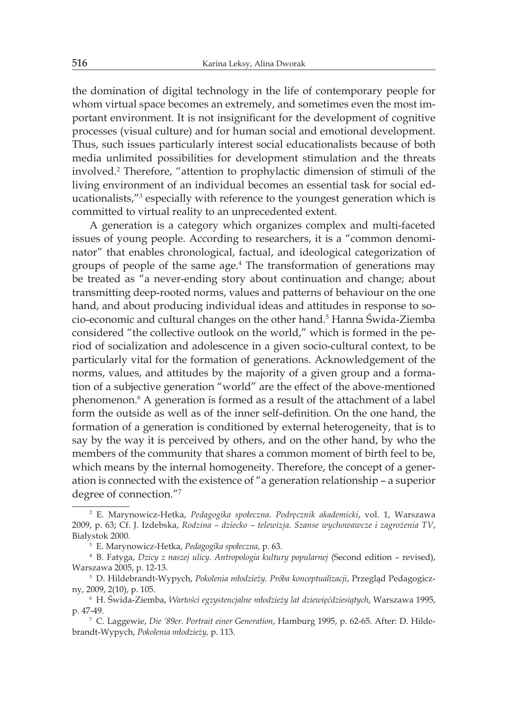the domination of digital technology in the life of contemporary people for whom virtual space becomes an extremely, and sometimes even the most important environment. It is not insignificant for the development of cognitive processes (visual culture) and for human social and emotional development. Thus, such issues particularly interest social educationalists because of both media unlimited possibilities for development stimulation and the threats involved.<sup>2</sup> Therefore, "attention to prophylactic dimension of stimuli of the living environment of an individual becomes an essential task for social educationalists,"<sup>3</sup> especially with reference to the youngest generation which is committed to virtual reality to an unprecedented extent.

A generation is a category which organizes complex and multi-faceted issues of young people. According to researchers, it is a "common denominator" that enables chronological, factual, and ideological categorization of groups of people of the same age.<sup>4</sup> The transformation of generations may be treated as "a never-ending story about continuation and change; about transmitting deep-rooted norms, values and patterns of behaviour on the one hand, and about producing individual ideas and attitudes in response to socio-economic and cultural changes on the other hand.<sup>5</sup> Hanna Świda-Ziemba considered "the collective outlook on the world," which is formed in the period of socialization and adolescence in a given socio-cultural context, to be particularly vital for the formation of generations. Acknowledgement of the norms, values, and attitudes by the majority of a given group and a formation of a subjective generation "world" are the effect of the above-mentioned phenomenon.<sup>6</sup> A generation is formed as a result of the attachment of a label form the outside as well as of the inner self-definition. On the one hand, the formation of a generation is conditioned by external heterogeneity, that is to say by the way it is perceived by others, and on the other hand, by who the members of the community that shares a common moment of birth feel to be, which means by the internal homogeneity. Therefore, the concept of a generation is connected with the existence of "a generation relationship – a superior degree of connection."<sup>7</sup>

<sup>2</sup> E. Marynowicz-Hetka, *Pedagogika społeczna. Podręcznik akademicki*, vol. 1, Warszawa 2009, p. 63; Cf. J. Izdebska, *Rodzina – dziecko – telewizja. Szanse wychowawcze i zagrożenia TV*, Białystok 2000.

<sup>3</sup> E. Marynowicz-Hetka, *Pedagogika społeczna*, p. 63.

<sup>4</sup> B. Fatyga, *Dzicy z naszej ulicy. Antropologia kultury popularnej* (Second edition – revised), Warszawa 2005, p. 12-13.

<sup>5</sup> D. Hildebrandt-Wypych, *Pokolenia młodzieży. Próba konceptualizacji*, Przegląd Pedagogiczny, 2009, 2(10), p. 105.

<sup>6</sup> H. Świda-Ziemba, *Wartości egzystencjalne młodzieży lat dziewięćdziesiątych*, Warszawa 1995, p. 47-49.

<sup>7</sup> C. Laggewie, *Die '89er. Portrait einer Generation*, Hamburg 1995, p. 62-65. After: D. Hildebrandt-Wypych, *Pokolenia młodzieży,* p. 113.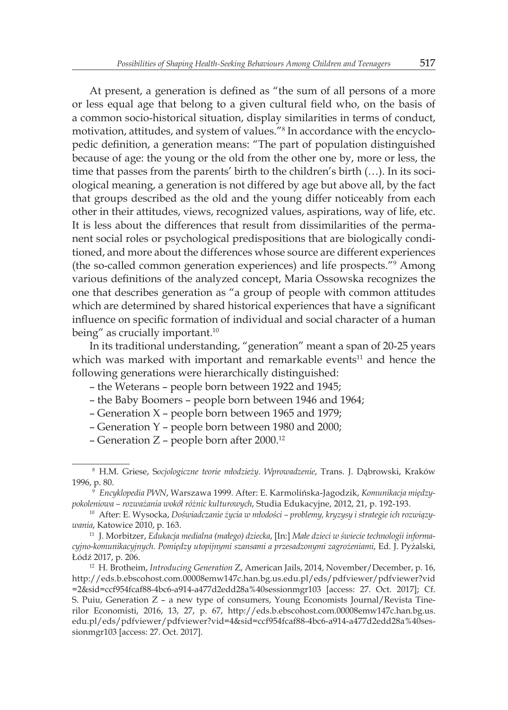At present, a generation is defined as "the sum of all persons of a more or less equal age that belong to a given cultural field who, on the basis of a common socio-historical situation, display similarities in terms of conduct, motivation, attitudes, and system of values."<sup>8</sup> In accordance with the encyclopedic definition, a generation means: "The part of population distinguished because of age: the young or the old from the other one by, more or less, the time that passes from the parents' birth to the children's birth (…). In its sociological meaning, a generation is not differed by age but above all, by the fact that groups described as the old and the young differ noticeably from each other in their attitudes, views, recognized values, aspirations, way of life, etc. It is less about the differences that result from dissimilarities of the permanent social roles or psychological predispositions that are biologically conditioned, and more about the differences whose source are different experiences (the so-called common generation experiences) and life prospects."<sup>9</sup> Among various definitions of the analyzed concept, Maria Ossowska recognizes the one that describes generation as "a group of people with common attitudes which are determined by shared historical experiences that have a significant influence on specific formation of individual and social character of a human being" as crucially important.<sup>10</sup>

In its traditional understanding, "generation" meant a span of 20-25 years which was marked with important and remarkable events $11$  and hence the following generations were hierarchically distinguished:

- the Weterans people born between 1922 and 1945;
- the Baby Boomers people born between 1946 and 1964;
- Generation X people born between 1965 and 1979;
- Generation Y people born between 1980 and 2000;
- Generation Z people born after 2000.<sup>12</sup>

<sup>8</sup> H.M. Griese, S*ocjologiczne teorie młodzieży. Wprowadzenie*, Trans. J. Dąbrowski, Kraków 1996, p. 80.

<sup>9</sup> *Encyklopedia PWN*, Warszawa 1999. After: E. Karmolińska-Jagodzik, *Komunikacja międzypokoleniowa – rozważania wokół różnic kulturowych*, Studia Edukacyjne, 2012, 21, p. 192-193.

<sup>10</sup> After: E. Wysocka, *Doświadczanie życia w młodości – problemy, kryzysy i strategie ich rozwiązywania*, Katowice 2010, p. 163.

<sup>11</sup> J. Morbitzer, *Edukacja medialna (małego) dziecka*, [In:] *Małe dzieci w świecie technologii informacyjno-komunikacyjnych. Pomiędzy utopijnymi szansami a przesadzonymi zagrożeniami*, Ed. J. Pyżalski, Łódź 2017, p. 206.

<sup>12</sup> H. Brotheim, *Introducing Generation* Z, American Jails, 2014, November/December, p. 16, http://eds.b.ebscohost.com.00008emw147c.han.bg.us.edu.pl/eds/pdfviewer/pdfviewer?vid =2&sid=ccf954fcaf88-4bc6-a914-a477d2edd28a%40sessionmgr103 [access: 27. Oct. 2017]; Cf. S. Puiu, Generation Z – a new type of consumers, Young Economists Journal/Revista Tinerilor Economisti, 2016, 13, 27, p. 67, http://eds.b.ebscohost.com.00008emw147c.han.bg.us. edu.pl/eds/pdfviewer/pdfviewer?vid=4&sid=ccf954fcaf88-4bc6-a914-a477d2edd28a%40sessionmgr103 [access: 27. Oct. 2017].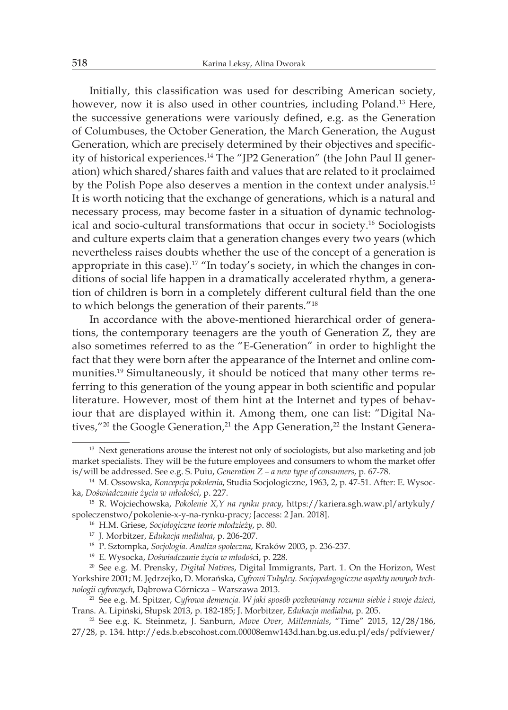Initially, this classification was used for describing American society, however, now it is also used in other countries, including Poland.<sup>13</sup> Here, the successive generations were variously defined, e.g. as the Generation of Columbuses, the October Generation, the March Generation, the August Generation, which are precisely determined by their objectives and specificity of historical experiences.14 The "JP2 Generation" (the John Paul II generation) which shared/shares faith and values that are related to it proclaimed by the Polish Pope also deserves a mention in the context under analysis.<sup>15</sup> It is worth noticing that the exchange of generations, which is a natural and necessary process, may become faster in a situation of dynamic technological and socio-cultural transformations that occur in society.<sup>16</sup> Sociologists and culture experts claim that a generation changes every two years (which nevertheless raises doubts whether the use of the concept of a generation is appropriate in this case).<sup>17</sup> "In today's society, in which the changes in conditions of social life happen in a dramatically accelerated rhythm, a generation of children is born in a completely different cultural field than the one to which belongs the generation of their parents."<sup>18</sup>

In accordance with the above-mentioned hierarchical order of generations, the contemporary teenagers are the youth of Generation Z, they are also sometimes referred to as the "E-Generation" in order to highlight the fact that they were born after the appearance of the Internet and online communities.19 Simultaneously, it should be noticed that many other terms referring to this generation of the young appear in both scientific and popular literature. However, most of them hint at the Internet and types of behaviour that are displayed within it. Among them, one can list: "Digital Natives,"<sup>20</sup> the Google Generation,<sup>21</sup> the App Generation,<sup>22</sup> the Instant Genera-

<sup>&</sup>lt;sup>13</sup> Next generations arouse the interest not only of sociologists, but also marketing and job market specialists. They will be the future employees and consumers to whom the market offer is/will be addressed. See e.g. S. Puiu, *Generation Z – a new type of consumers*, p. 67-78.

<sup>14</sup> M. Ossowska, *Koncepcja pokolenia*, Studia Socjologiczne, 1963, 2, p. 47-51. After: E. Wysocka, *Doświadczanie życia w młodości*, p. 227.

<sup>15</sup> R. Wojciechowska, *Pokolenie X,Y na rynku pracy*, https://kariera.sgh.waw.pl/artykuly/ spoleczenstwo/pokolenie-x-y-na-rynku-pracy; [access: 2 Jan. 2018].

<sup>16</sup> H.M. Griese, *Socjologiczne teorie młodzieży*, p. 80.

<sup>17</sup> J. Morbitzer, *Edukacja medialna*, p. 206-207.

<sup>18</sup> P. Sztompka, *Socjologia. Analiza społeczna*, Kraków 2003, p. 236-237.

<sup>19</sup> E. Wysocka, *Doświadczanie życia w młodośc*i, p. 228.

<sup>20</sup> See e.g. M. Prensky, *Digital Natives*, Digital Immigrants, Part. 1. On the Horizon, West Yorkshire 2001; M. Jędrzejko, D. Morańska, *Cyfrowi Tubylcy. Socjopedagogiczne aspekty nowych technologii cyfrowych*, Dąbrowa Górnicza – Warszawa 2013.

<sup>21</sup> See e.g. M. Spitzer, C*yfrowa demencja. W jaki sposób pozbawiamy rozumu siebie i swoje dzieci*, Trans. A. Lipiński, Słupsk 2013, p. 182-185; J. Morbitzer, *Edukacja medialna*, p. 205.

<sup>22</sup> See e.g. K. Steinmetz, J. Sanburn, *Move Over, Millennials*, "Time" 2015, 12/28/186, 27/28, p. 134. http://eds.b.ebscohost.com.00008emw143d.han.bg.us.edu.pl/eds/pdfviewer/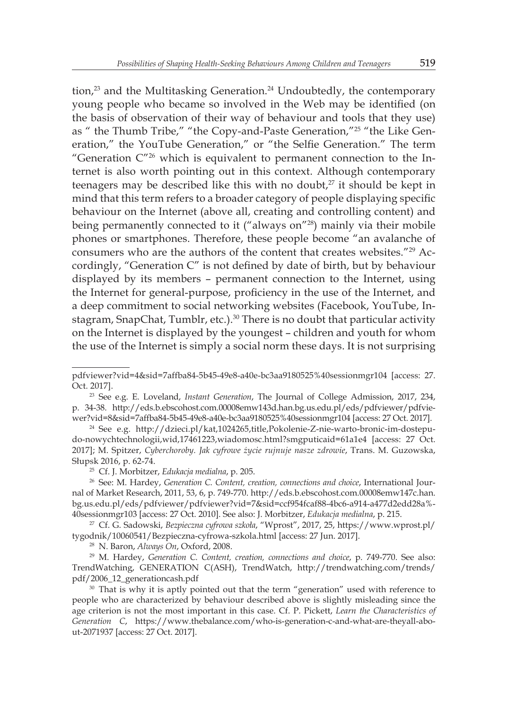tion,<sup>23</sup> and the Multitasking Generation.<sup>24</sup> Undoubtedly, the contemporary young people who became so involved in the Web may be identified (on the basis of observation of their way of behaviour and tools that they use) as " the Thumb Tribe," "the Copy-and-Paste Generation,"25 "the Like Generation," the YouTube Generation," or "the Selfie Generation." The term "Generation  $C^{\prime\prime\prime\prime}$  which is equivalent to permanent connection to the Internet is also worth pointing out in this context. Although contemporary teenagers may be described like this with no doubt, $2^7$  it should be kept in mind that this term refers to a broader category of people displaying specific behaviour on the Internet (above all, creating and controlling content) and being permanently connected to it ("always on"<sup>28</sup>) mainly via their mobile phones or smartphones. Therefore, these people become "an avalanche of consumers who are the authors of the content that creates websites."29 Accordingly, "Generation C" is not defined by date of birth, but by behaviour displayed by its members – permanent connection to the Internet, using the Internet for general-purpose, proficiency in the use of the Internet, and a deep commitment to social networking websites (Facebook, YouTube, Instagram, SnapChat, Tumblr, etc.). $30$  There is no doubt that particular activity on the Internet is displayed by the youngest – children and youth for whom the use of the Internet is simply a social norm these days. It is not surprising

pdfviewer?vid=4&sid=7affba84-5b45-49e8-a40e-bc3aa9180525%40sessionmgr104 [access: 27. Oct. 2017].

<sup>23</sup> See e.g. E. Loveland, *Instant Generation*, The Journal of College Admission, 2017, 234, p. 34-38. http://eds.b.ebscohost.com.00008emw143d.han.bg.us.edu.pl/eds/pdfviewer/pdfviewer?vid=8&sid=7affba84-5b45-49e8-a40e-bc3aa9180525%40sessionmgr104 [access: 27 Oct. 2017].

<sup>24</sup> See e.g. http://dzieci.pl/kat,1024265,title,Pokolenie-Z-nie-warto-bronic-im-dostepudo-nowychtechnologii,wid,17461223,wiadomosc.html?smgputicaid=61a1e4 [access: 27 Oct. 2017]; M. Spitzer, *Cyberchoroby. Jak cyfrowe życie rujnuje nasze zdrowie*, Trans. M. Guzowska, Słupsk 2016, p. 62-74.

<sup>25</sup> Cf. J. Morbitzer, *Edukacja medialna*, p. 205.

<sup>26</sup> See: M. Hardey, *Generation C. Content, creation, connections and choice*, International Journal of Market Research, 2011, 53, 6, p. 749-770. http://eds.b.ebscohost.com.00008emw147c.han. bg.us.edu.pl/eds/pdfviewer/pdfviewer?vid=7&sid=ccf954fcaf88-4bc6-a914-a477d2edd28a%- 40sessionmgr103 [access: 27 Oct. 2010]. See also: J. Morbitzer, *Edukacja medialna*, p. 215.

<sup>27</sup> Cf. G. Sadowski, *Bezpieczna cyfrowa szkoła*, "Wprost", 2017, 25, https://www.wprost.pl/ tygodnik/10060541/Bezpieczna-cyfrowa-szkola.html [access: 27 Jun. 2017].

<sup>28</sup> N. Baron, *Always On*, Oxford, 2008.

<sup>&</sup>lt;sup>29</sup> M. Hardey, *Generation C. Content, creation, connections and choice*, p. 749-770. See also: TrendWatching, GENERATION C(ASH), TrendWatch, http://trendwatching.com/trends/ pdf/2006\_12\_generationcash.pdf

<sup>&</sup>lt;sup>30</sup> That is why it is aptly pointed out that the term "generation" used with reference to people who are characterized by behaviour described above is slightly misleading since the age criterion is not the most important in this case. Cf. P. Pickett, *Learn the Characteristics of Generation C*, https://www.thebalance.com/who-is-generation-c-and-what-are-theyall-about-2071937 [access: 27 Oct. 2017].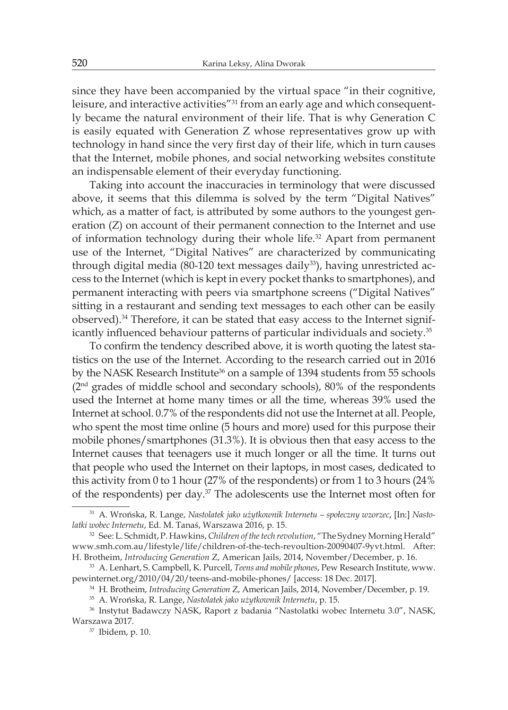since they have been accompanied by the virtual space "in their cognitive, leisure, and interactive activities<sup>"31</sup> from an early age and which consequently became the natural environment of their life. That is why Generation C is easily equated with Generation Z whose representatives grow up with technology in hand since the very first day of their life, which in turn causes that the Internet, mobile phones, and social networking websites constitute an indispensable element of their everyday functioning.

Taking into account the inaccuracies in terminology that were discussed above, it seems that this dilemma is solved by the term "Digital Natives" which, as a matter of fact, is attributed by some authors to the youngest generation (Z) on account of their permanent connection to the Internet and use of information technology during their whole life.<sup>32</sup> Apart from permanent use of the Internet, "Digital Natives" are characterized by communicating through digital media (80-120 text messages daily<sup>33</sup>), having unrestricted access to the Internet (which is kept in every pocket thanks to smartphones), and permanent interacting with peers via smartphone screens ("Digital Natives" sitting in a restaurant and sending text messages to each other can be easily observed).<sup>34</sup> Therefore, it can be stated that easy access to the Internet significantly influenced behaviour patterns of particular individuals and society.<sup>35</sup>

To confirm the tendency described above, it is worth quoting the latest statistics on the use of the Internet. According to the research carried out in 2016 by the NASK Research Institute<sup>36</sup> on a sample of 1394 students from 55 schools (2<sup>nd</sup> grades of middle school and secondary schools), 80% of the respondents used the Internet at home many times or all the time, whereas 39% used the Internet at school. 0.7% of the respondents did not use the Internet at all. People, who spent the most time online (5 hours and more) used for this purpose their mobile phones/smartphones (31.3%). It is obvious then that easy access to the Internet causes that teenagers use it much longer or all the time. It turns out that people who used the Internet on their laptops, in most cases, dedicated to this activity from 0 to 1 hour (27% of the respondents) or from 1 to 3 hours (24% of the respondents) per day.<sup>37</sup> The adolescents use the Internet most often for

<sup>31</sup> A. Wrońska, R. Lange, *Nastolatek jako użytkownik Internetu – społeczny wzorzec*, [In:] *Nastolatki wobec Internetu*, Ed. M. Tanaś, Warszawa 2016, p. 15.

<sup>32</sup> See: L. Schmidt, P. Hawkins, *Children of the tech revolution*, "The Sydney Morning Herald" www.smh.com.au/lifestyle/life/children-of-the-tech-revoultion-20090407-9yvt.html. After: H. Brotheim, *Introducing Generation* Z, American Jails, 2014, November/December, p. 16.

<sup>33</sup> A. Lenhart, S. Campbell, K. Purcell, *Teens and mobile phones*, Pew Research Institute, www. pewinternet.org/2010/04/20/teens-and-mobile-phones/ [access: 18 Dec. 2017].

<sup>34</sup> H. Brotheim, *Introducing Generation* Z, American Jails, 2014, November/December, p. 19.

<sup>35</sup> A. Wrońska, R. Lange, *Nastolatek jako użytkownik Internetu*, p. 15.

<sup>36</sup> Instytut Badawczy NASK, Raport z badania "Nastolatki wobec Internetu 3.0", NASK, Warszawa 2017.

<sup>37</sup> Ibidem, p. 10.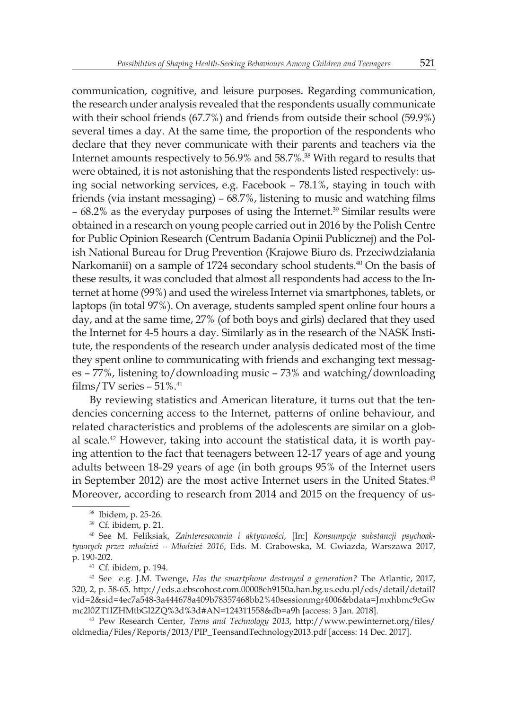communication, cognitive, and leisure purposes. Regarding communication, the research under analysis revealed that the respondents usually communicate with their school friends (67.7%) and friends from outside their school (59.9%) several times a day. At the same time, the proportion of the respondents who declare that they never communicate with their parents and teachers via the Internet amounts respectively to 56.9% and 58.7%.<sup>38</sup> With regard to results that were obtained, it is not astonishing that the respondents listed respectively: using social networking services, e.g. Facebook – 78.1%, staying in touch with friends (via instant messaging) – 68.7%, listening to music and watching films – 68.2% as the everyday purposes of using the Internet.<sup>39</sup> Similar results were obtained in a research on young people carried out in 2016 by the Polish Centre for Public Opinion Research (Centrum Badania Opinii Publicznej) and the Polish National Bureau for Drug Prevention (Krajowe Biuro ds. Przeciwdziałania Narkomanii) on a sample of 1724 secondary school students.<sup>40</sup> On the basis of these results, it was concluded that almost all respondents had access to the Internet at home (99%) and used the wireless Internet via smartphones, tablets, or laptops (in total 97%). On average, students sampled spent online four hours a day, and at the same time, 27% (of both boys and girls) declared that they used the Internet for 4-5 hours a day. Similarly as in the research of the NASK Institute, the respondents of the research under analysis dedicated most of the time they spent online to communicating with friends and exchanging text messages – 77%, listening to/downloading music – 73% and watching/downloading films/TV series  $-51\%$ .<sup>41</sup>

By reviewing statistics and American literature, it turns out that the tendencies concerning access to the Internet, patterns of online behaviour, and related characteristics and problems of the adolescents are similar on a global scale.42 However, taking into account the statistical data, it is worth paying attention to the fact that teenagers between 12-17 years of age and young adults between 18-29 years of age (in both groups 95% of the Internet users in September 2012) are the most active Internet users in the United States.<sup>43</sup> Moreover, according to research from 2014 and 2015 on the frequency of us-

<sup>41</sup> Cf. ibidem, p. 194.

<sup>42</sup> See e.g. J.M. Twenge, *Has the smartphone destroyed a generation?* The Atlantic, 2017, 320, 2, p. 58-65. http://eds.a.ebscohost.com.00008eh9150a.han.bg.us.edu.pl/eds/detail/detail? vid=2&sid=4ec7a548-3a444678a409b78357468bb2%40sessionmgr4006&bdata=Jmxhbmc9cGw mc2l0ZT1lZHMtbGl2ZQ%3d%3d#AN=124311558&db=a9h [access: 3 Jan. 2018].

<sup>43</sup> Pew Research Center, *Teens and Technology 2013*, http://www.pewinternet.org/files/ oldmedia/Files/Reports/2013/PIP\_TeensandTechnology2013.pdf [access: 14 Dec. 2017].

<sup>38</sup> Ibidem, p. 25-26.

<sup>39</sup> Cf. ibidem, p. 21.

<sup>40</sup> See M. Feliksiak, *Zainteresowania i aktywności*, [In:] *Konsumpcja substancji psychoaktywnych przez młodzież – Młodzież 2016*, Eds. M. Grabowska, M. Gwiazda, Warszawa 2017, p. 190-202.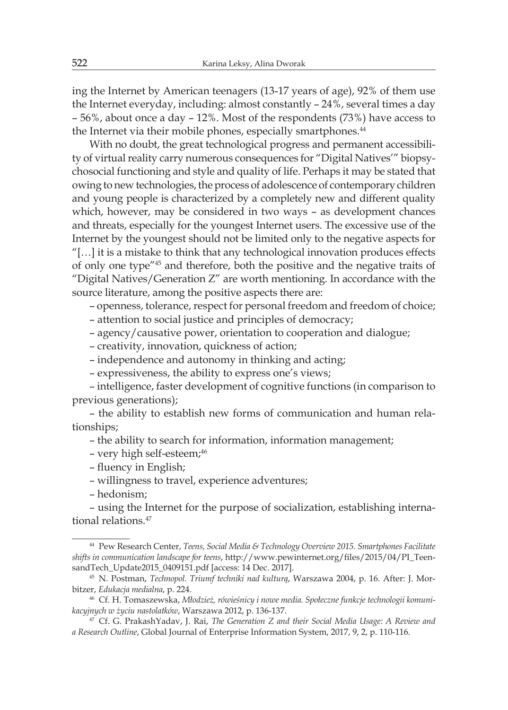ing the Internet by American teenagers (13-17 years of age), 92% of them use the Internet everyday, including: almost constantly – 24%, several times a day – 56%, about once a day – 12%. Most of the respondents (73%) have access to the Internet via their mobile phones, especially smartphones.<sup>44</sup>

With no doubt, the great technological progress and permanent accessibility of virtual reality carry numerous consequences for "Digital Natives'" biopsychosocial functioning and style and quality of life. Perhaps it may be stated that owing to new technologies, the process of adolescence of contemporary children and young people is characterized by a completely new and different quality which, however, may be considered in two ways – as development chances and threats, especially for the youngest Internet users. The excessive use of the Internet by the youngest should not be limited only to the negative aspects for "[…] it is a mistake to think that any technological innovation produces effects of only one type"<sup>45</sup> and therefore, both the positive and the negative traits of "Digital Natives/Generation Z" are worth mentioning. In accordance with the source literature, among the positive aspects there are:

– openness, tolerance, respect for personal freedom and freedom of choice;

– attention to social justice and principles of democracy;

– agency/causative power, orientation to cooperation and dialogue;

– creativity, innovation, quickness of action;

– independence and autonomy in thinking and acting;

– expressiveness, the ability to express one's views;

– intelligence, faster development of cognitive functions (in comparison to previous generations);

– the ability to establish new forms of communication and human relationships;

– the ability to search for information, information management;

– very high self-esteem;<sup>46</sup>

– fluency in English;

– willingness to travel, experience adventures;

– hedonism;

– using the Internet for the purpose of socialization, establishing international relations.<sup>47</sup>

<sup>44</sup> Pew Research Center, *Teens, Social Media & Technology Overview 2015. Smartphones Facilitate shifts in communication landscape for teens*, http://www.pewinternet.org/files/2015/04/PI\_TeensandTech\_Update2015\_0409151.pdf [access: 14 Dec. 2017].

<sup>45</sup> N. Postman, *Technopol. Triumf techniki nad kulturą*, Warszawa 2004, p. 16. After: J. Morbitzer, *Edukacja medialna*, p. 224.

<sup>46</sup> Cf. H. Tomaszewska, *Młodzież, rówieśnicy i nowe media. Społeczne funkcje technologii komunikacyjnych w życiu nastolatków*, Warszawa 2012, p. 136-137.

<sup>47</sup> Cf. G. PrakashYadav, J. Rai, *The Generation Z and their Social Media Usage: A Review and a Research Outline*, Global Journal of Enterprise Information System, 2017, 9, 2, p. 110-116.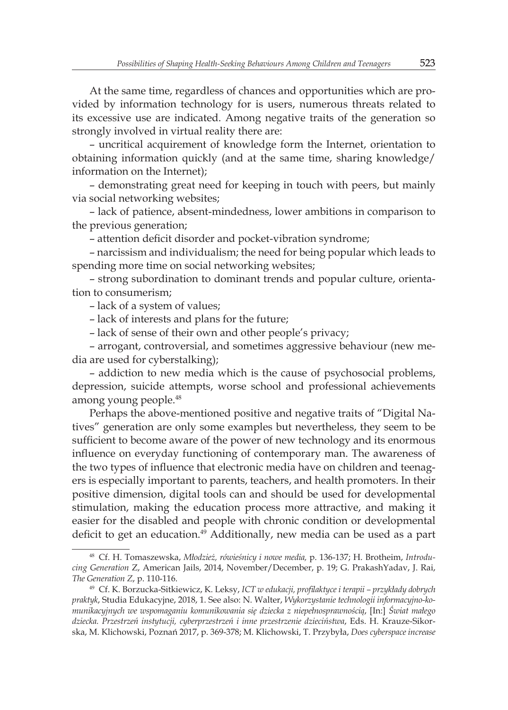At the same time, regardless of chances and opportunities which are provided by information technology for is users, numerous threats related to its excessive use are indicated. Among negative traits of the generation so strongly involved in virtual reality there are:

– uncritical acquirement of knowledge form the Internet, orientation to obtaining information quickly (and at the same time, sharing knowledge/ information on the Internet);

– demonstrating great need for keeping in touch with peers, but mainly via social networking websites;

– lack of patience, absent-mindedness, lower ambitions in comparison to the previous generation;

– attention deficit disorder and pocket-vibration syndrome;

– narcissism and individualism; the need for being popular which leads to spending more time on social networking websites;

– strong subordination to dominant trends and popular culture, orientation to consumerism;

– lack of a system of values;

– lack of interests and plans for the future;

– lack of sense of their own and other people's privacy;

– arrogant, controversial, and sometimes aggressive behaviour (new media are used for cyberstalking);

– addiction to new media which is the cause of psychosocial problems, depression, suicide attempts, worse school and professional achievements among young people.<sup>48</sup>

Perhaps the above-mentioned positive and negative traits of "Digital Natives" generation are only some examples but nevertheless, they seem to be sufficient to become aware of the power of new technology and its enormous influence on everyday functioning of contemporary man. The awareness of the two types of influence that electronic media have on children and teenagers is especially important to parents, teachers, and health promoters. In their positive dimension, digital tools can and should be used for developmental stimulation, making the education process more attractive, and making it easier for the disabled and people with chronic condition or developmental deficit to get an education.<sup>49</sup> Additionally, new media can be used as a part

<sup>48</sup> Cf. H. Tomaszewska, *Młodzież, rówieśnicy i nowe media,* p. 136-137; H. Brotheim, *Introducing Generation* Z, American Jails, 2014, November/December, p. 19; G. PrakashYadav, J. Rai, *The Generation Z*, p. 110-116.

<sup>49</sup> Cf. K. Borzucka-Sitkiewicz, K. Leksy, *ICT w edukacji, profilaktyce i terapii – przykłady dobrych praktyk*, Studia Edukacyjne, 2018, 1. See also: N. Walter, *Wykorzystanie technologii informacyjno-komunikacyjnych we wspomaganiu komunikowania się dziecka z niepełnosprawnością*, [In:] *Świat małego dziecka. Przestrzeń instytucji, cyberprzestrzeń i inne przestrzenie dzieciństwa*, Eds. H. Krauze-Sikorska, M. Klichowski, Poznań 2017, p. 369-378; M. Klichowski, T. Przybyła, *Does cyberspace increase*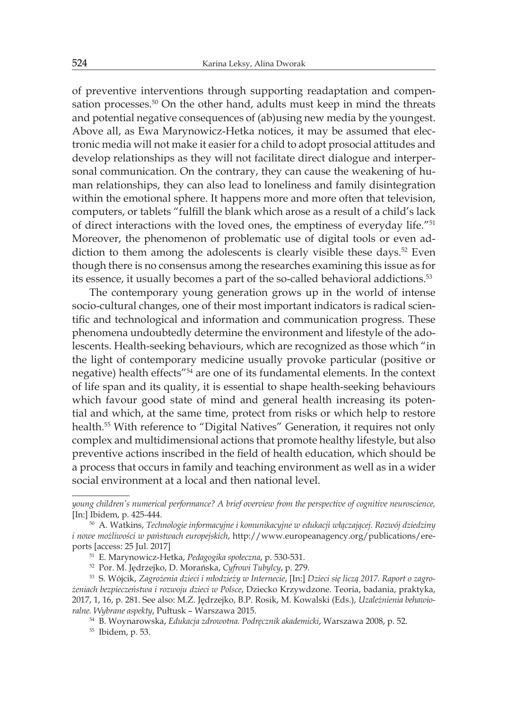of preventive interventions through supporting readaptation and compensation processes.<sup>50</sup> On the other hand, adults must keep in mind the threats and potential negative consequences of (ab)using new media by the youngest. Above all, as Ewa Marynowicz-Hetka notices, it may be assumed that electronic media will not make it easier for a child to adopt prosocial attitudes and develop relationships as they will not facilitate direct dialogue and interpersonal communication. On the contrary, they can cause the weakening of human relationships, they can also lead to loneliness and family disintegration within the emotional sphere. It happens more and more often that television, computers, or tablets "fulfill the blank which arose as a result of a child's lack of direct interactions with the loved ones, the emptiness of everyday life."<sup>51</sup> Moreover, the phenomenon of problematic use of digital tools or even addiction to them among the adolescents is clearly visible these days.<sup>52</sup> Even though there is no consensus among the researches examining this issue as for its essence, it usually becomes a part of the so-called behavioral addictions.<sup>53</sup>

The contemporary young generation grows up in the world of intense socio-cultural changes, one of their most important indicators is radical scientific and technological and information and communication progress. These phenomena undoubtedly determine the environment and lifestyle of the adolescents. Health-seeking behaviours, which are recognized as those which "in the light of contemporary medicine usually provoke particular (positive or negative) health effects"<sup>54</sup> are one of its fundamental elements. In the context of life span and its quality, it is essential to shape health-seeking behaviours which favour good state of mind and general health increasing its potential and which, at the same time, protect from risks or which help to restore health.<sup>55</sup> With reference to "Digital Natives" Generation, it requires not only complex and multidimensional actions that promote healthy lifestyle, but also preventive actions inscribed in the field of health education, which should be a process that occurs in family and teaching environment as well as in a wider social environment at a local and then national level.

*young children's numerical performance? A brief overview from the perspective of cognitive neuroscience,* [In:] Ibidem, p. 425-444.

<sup>50</sup> A. Watkins, *Technologie informacyjne i komunikacyjne w edukacji włączającej. Rozwój dziedziny i nowe możliwości w państwach europejskich*, http://www.europeanagency.org/publications/ereports [access: 25 Jul. 2017]

<sup>51</sup> E. Marynowicz-Hetka, *Pedagogika społeczna*, p. 530-531.

<sup>52</sup> Por. M. Jędrzejko, D. Morańska, *Cyfrowi Tubylcy*, p. 279.

<sup>53</sup> S. Wójcik, *Zagrożenia dzieci i młodzieży w Internecie*, [In:] *Dzieci się liczą 2017. Raport o zagrożeniach bezpieczeństwa i rozwoju dzieci w Polsce*, Dziecko Krzywdzone. Teoria, badania, praktyka, 2017, 1, 16, p. 281. See also: M.Z. Jędrzejko, B.P. Rosik, M. Kowalski (Eds.), *Uzależnienia behawioralne. Wybrane aspekty*, Pułtusk – Warszawa 2015.

<sup>54</sup> B. Woynarowska, *Edukacja zdrowotna. Podręcznik akademicki*, Warszawa 2008, p. 52.

<sup>55</sup> Ibidem, p. 53.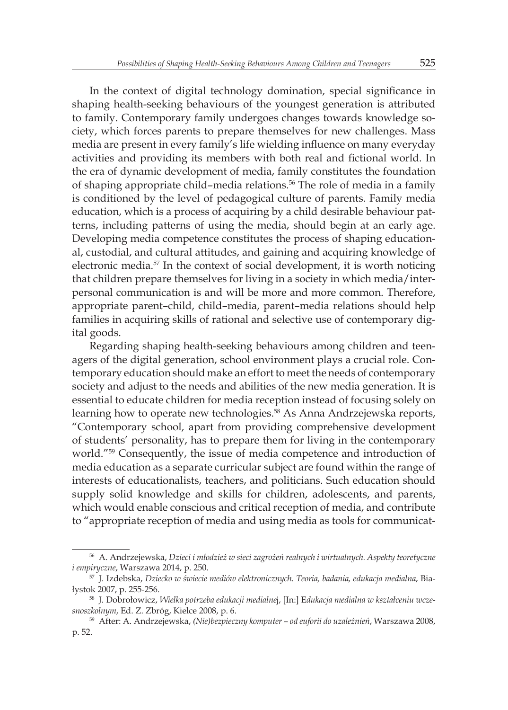In the context of digital technology domination, special significance in shaping health-seeking behaviours of the youngest generation is attributed to family. Contemporary family undergoes changes towards knowledge society, which forces parents to prepare themselves for new challenges. Mass media are present in every family's life wielding influence on many everyday activities and providing its members with both real and fictional world. In the era of dynamic development of media, family constitutes the foundation of shaping appropriate child–media relations.<sup>56</sup> The role of media in a family is conditioned by the level of pedagogical culture of parents. Family media education, which is a process of acquiring by a child desirable behaviour patterns, including patterns of using the media, should begin at an early age. Developing media competence constitutes the process of shaping educational, custodial, and cultural attitudes, and gaining and acquiring knowledge of electronic media.<sup>57</sup> In the context of social development, it is worth noticing that children prepare themselves for living in a society in which media/interpersonal communication is and will be more and more common. Therefore, appropriate parent–child, child–media, parent–media relations should help families in acquiring skills of rational and selective use of contemporary digital goods.

Regarding shaping health-seeking behaviours among children and teenagers of the digital generation, school environment plays a crucial role. Contemporary education should make an effort to meet the needs of contemporary society and adjust to the needs and abilities of the new media generation. It is essential to educate children for media reception instead of focusing solely on learning how to operate new technologies.<sup>58</sup> As Anna Andrzejewska reports, "Contemporary school, apart from providing comprehensive development of students' personality, has to prepare them for living in the contemporary world."<sup>59</sup> Consequently, the issue of media competence and introduction of media education as a separate curricular subject are found within the range of interests of educationalists, teachers, and politicians. Such education should supply solid knowledge and skills for children, adolescents, and parents, which would enable conscious and critical reception of media, and contribute to "appropriate reception of media and using media as tools for communicat-

<sup>56</sup> A. Andrzejewska, *Dzieci i młodzież w sieci zagrożeń realnych i wirtualnych. Aspekty teoretyczne i empiryczne*, Warszawa 2014, p. 250.

<sup>57</sup> J. Izdebska, *Dziecko w świecie mediów elektronicznych. Teoria, badania, edukacja medialna*, Białystok 2007, p. 255-256.

<sup>58</sup> J. Dobrołowicz, *Wielka potrzeba edukacji medialne*j, [In:] E*dukacja medialna w kształceniu wczesnoszkolnym*, Ed. Z. Zbróg, Kielce 2008, p. 6.

<sup>59</sup> After: A. Andrzejewska, *(Nie)bezpieczny komputer – od euforii do uzależnień*, Warszawa 2008, p. 52.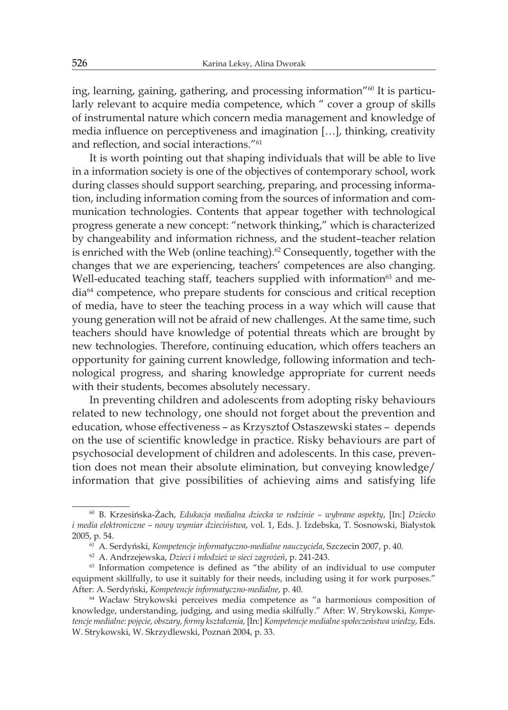ing, learning, gaining, gathering, and processing information"<sup>60</sup> It is particularly relevant to acquire media competence, which " cover a group of skills of instrumental nature which concern media management and knowledge of media influence on perceptiveness and imagination […], thinking, creativity and reflection, and social interactions."<sup>61</sup>

It is worth pointing out that shaping individuals that will be able to live in a information society is one of the objectives of contemporary school, work during classes should support searching, preparing, and processing information, including information coming from the sources of information and communication technologies. Contents that appear together with technological progress generate a new concept: "network thinking," which is characterized by changeability and information richness, and the student–teacher relation is enriched with the Web (online teaching). $62$  Consequently, together with the changes that we are experiencing, teachers' competences are also changing. Well-educated teaching staff, teachers supplied with information<sup>63</sup> and media64 competence, who prepare students for conscious and critical reception of media, have to steer the teaching process in a way which will cause that young generation will not be afraid of new challenges. At the same time, such teachers should have knowledge of potential threats which are brought by new technologies. Therefore, continuing education, which offers teachers an opportunity for gaining current knowledge, following information and technological progress, and sharing knowledge appropriate for current needs with their students, becomes absolutely necessary.

In preventing children and adolescents from adopting risky behaviours related to new technology, one should not forget about the prevention and education, whose effectiveness – as Krzysztof Ostaszewski states – depends on the use of scientific knowledge in practice. Risky behaviours are part of psychosocial development of children and adolescents. In this case, prevention does not mean their absolute elimination, but conveying knowledge/ information that give possibilities of achieving aims and satisfying life

<sup>60</sup> B. Krzesińska-Żach, *Edukacja medialna dziecka w rodzinie – wybrane aspekty*, [In:] *Dziecko i media elektroniczne – nowy wymiar dzieciństwa*, vol. 1, Eds. J. Izdebska, T. Sosnowski, Białystok 2005, p. 54.

<sup>61</sup> A. Serdyński, *Kompetencje informatyczno-medialne nauczyciela*, Szczecin 2007, p. 40.

<sup>62</sup> A. Andrzejewska, *Dzieci i młodzież w sieci zagrożeń*, p. 241-243.

<sup>&</sup>lt;sup>63</sup> Information competence is defined as "the ability of an individual to use computer equipment skillfully, to use it suitably for their needs, including using it for work purposes." After: A. Serdyński, *Kompetencje informatyczno-medialne*, p. 40.

<sup>64</sup> Wacław Strykowski perceives media competence as "a harmonious composition of knowledge, understanding, judging, and using media skilfully." After: W. Strykowski, *Kompetencje medialne: pojęcie, obszary, formy kształcenia,* [In:] *Kompetencje medialne społeczeństwa wiedzy*, Eds. W. Strykowski, W. Skrzydlewski, Poznań 2004, p. 33.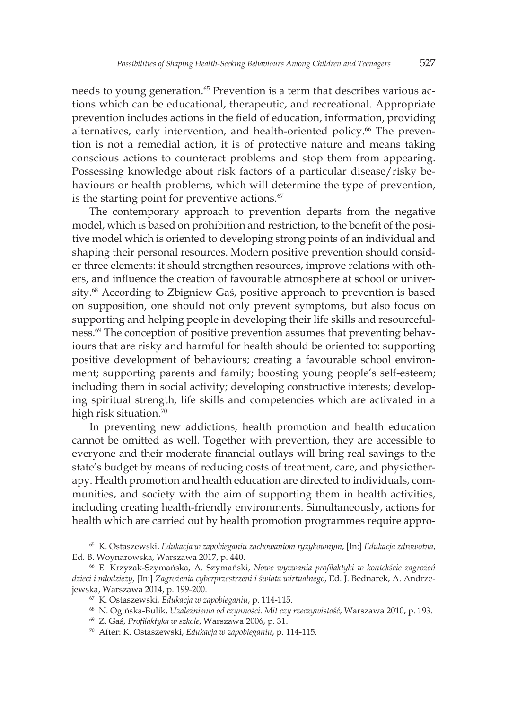needs to young generation.<sup>65</sup> Prevention is a term that describes various actions which can be educational, therapeutic, and recreational. Appropriate prevention includes actions in the field of education, information, providing alternatives, early intervention, and health-oriented policy.<sup>66</sup> The prevention is not a remedial action, it is of protective nature and means taking conscious actions to counteract problems and stop them from appearing. Possessing knowledge about risk factors of a particular disease/risky behaviours or health problems, which will determine the type of prevention, is the starting point for preventive actions.<sup>67</sup>

The contemporary approach to prevention departs from the negative model, which is based on prohibition and restriction, to the benefit of the positive model which is oriented to developing strong points of an individual and shaping their personal resources. Modern positive prevention should consider three elements: it should strengthen resources, improve relations with others, and influence the creation of favourable atmosphere at school or university.<sup>68</sup> According to Zbigniew Gaś, positive approach to prevention is based on supposition, one should not only prevent symptoms, but also focus on supporting and helping people in developing their life skills and resourcefulness.69 The conception of positive prevention assumes that preventing behaviours that are risky and harmful for health should be oriented to: supporting positive development of behaviours; creating a favourable school environment; supporting parents and family; boosting young people's self-esteem; including them in social activity; developing constructive interests; developing spiritual strength, life skills and competencies which are activated in a high risk situation.<sup>70</sup>

In preventing new addictions, health promotion and health education cannot be omitted as well. Together with prevention, they are accessible to everyone and their moderate financial outlays will bring real savings to the state's budget by means of reducing costs of treatment, care, and physiotherapy. Health promotion and health education are directed to individuals, communities, and society with the aim of supporting them in health activities, including creating health-friendly environments. Simultaneously, actions for health which are carried out by health promotion programmes require appro-

<sup>65</sup> K. Ostaszewski, *Edukacja w zapobieganiu zachowaniom ryzykownym*, [In:] *Edukacja zdrowotna*, Ed. B. Woynarowska, Warszawa 2017, p. 440.

<sup>66</sup> E. Krzyżak-Szymańska, A. Szymański, *Nowe wyzwania profilaktyki w kontekście zagrożeń dzieci i młodzieży*, [In:] *Zagrożenia cyberprzestrzeni i świata wirtualnego*, Ed. J. Bednarek, A. Andrzejewska, Warszawa 2014, p. 199-200.

<sup>67</sup> K. Ostaszewski, *Edukacja w zapobieganiu*, p. 114-115.

<sup>68</sup> N. Ogińska-Bulik, *Uzależnienia od czynności. Mit czy rzeczywistość*, Warszawa 2010, p. 193.

<sup>69</sup> Z. Gaś, *Profilaktyka w szkole*, Warszawa 2006, p. 31.

<sup>70</sup> After: K. Ostaszewski, *Edukacja w zapobieganiu*, p. 114-115.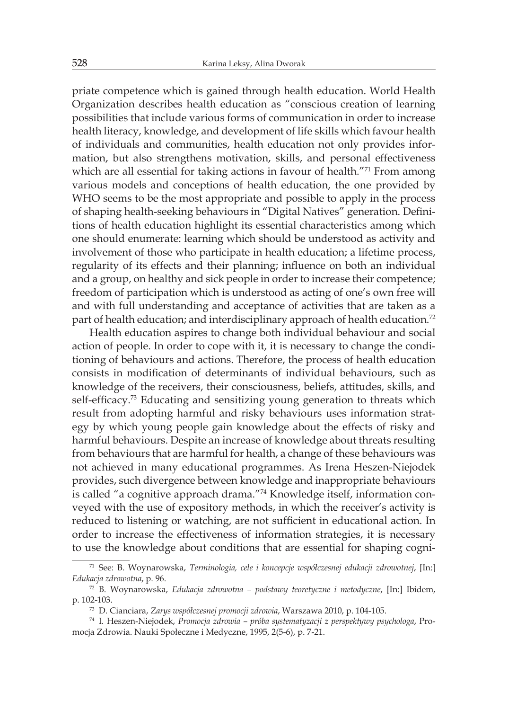priate competence which is gained through health education. World Health Organization describes health education as "conscious creation of learning possibilities that include various forms of communication in order to increase health literacy, knowledge, and development of life skills which favour health of individuals and communities, health education not only provides information, but also strengthens motivation, skills, and personal effectiveness which are all essential for taking actions in favour of health."<sup>71</sup> From among various models and conceptions of health education, the one provided by WHO seems to be the most appropriate and possible to apply in the process of shaping health-seeking behaviours in "Digital Natives" generation. Definitions of health education highlight its essential characteristics among which one should enumerate: learning which should be understood as activity and involvement of those who participate in health education; a lifetime process, regularity of its effects and their planning; influence on both an individual and a group, on healthy and sick people in order to increase their competence; freedom of participation which is understood as acting of one's own free will and with full understanding and acceptance of activities that are taken as a part of health education; and interdisciplinary approach of health education.<sup>72</sup>

Health education aspires to change both individual behaviour and social action of people. In order to cope with it, it is necessary to change the conditioning of behaviours and actions. Therefore, the process of health education consists in modification of determinants of individual behaviours, such as knowledge of the receivers, their consciousness, beliefs, attitudes, skills, and self-efficacy.<sup>73</sup> Educating and sensitizing young generation to threats which result from adopting harmful and risky behaviours uses information strategy by which young people gain knowledge about the effects of risky and harmful behaviours. Despite an increase of knowledge about threats resulting from behaviours that are harmful for health, a change of these behaviours was not achieved in many educational programmes. As Irena Heszen-Niejodek provides, such divergence between knowledge and inappropriate behaviours is called "a cognitive approach drama."74 Knowledge itself, information conveyed with the use of expository methods, in which the receiver's activity is reduced to listening or watching, are not sufficient in educational action. In order to increase the effectiveness of information strategies, it is necessary to use the knowledge about conditions that are essential for shaping cogni-

<sup>71</sup> See: B. Woynarowska, *Terminologia, cele i koncepcje współczesnej edukacji zdrowotnej*, [In:] *Edukacja zdrowotna*, p. 96.

<sup>72</sup> B. Woynarowska, *Edukacja zdrowotna – podstawy teoretyczne i metodyczne*, [In:] Ibidem, p. 102-103.

<sup>73</sup> D. Cianciara, *Zarys współczesnej promocji zdrowia*, Warszawa 2010, p. 104-105.

<sup>74</sup> I. Heszen-Niejodek, *Promocja zdrowia – próba systematyzacji z perspektywy psychologa*, Promocja Zdrowia. Nauki Społeczne i Medyczne, 1995, 2(5-6), p. 7-21.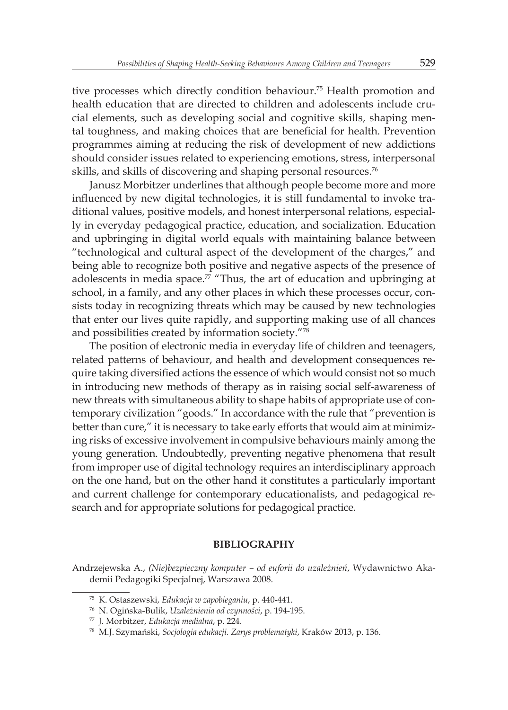tive processes which directly condition behaviour.<sup>75</sup> Health promotion and health education that are directed to children and adolescents include crucial elements, such as developing social and cognitive skills, shaping mental toughness, and making choices that are beneficial for health. Prevention programmes aiming at reducing the risk of development of new addictions should consider issues related to experiencing emotions, stress, interpersonal skills, and skills of discovering and shaping personal resources.<sup>76</sup>

Janusz Morbitzer underlines that although people become more and more influenced by new digital technologies, it is still fundamental to invoke traditional values, positive models, and honest interpersonal relations, especially in everyday pedagogical practice, education, and socialization. Education and upbringing in digital world equals with maintaining balance between "technological and cultural aspect of the development of the charges," and being able to recognize both positive and negative aspects of the presence of adolescents in media space.<sup>77</sup> "Thus, the art of education and upbringing at school, in a family, and any other places in which these processes occur, consists today in recognizing threats which may be caused by new technologies that enter our lives quite rapidly, and supporting making use of all chances and possibilities created by information society."<sup>78</sup>

The position of electronic media in everyday life of children and teenagers, related patterns of behaviour, and health and development consequences require taking diversified actions the essence of which would consist not so much in introducing new methods of therapy as in raising social self-awareness of new threats with simultaneous ability to shape habits of appropriate use of contemporary civilization "goods." In accordance with the rule that "prevention is better than cure," it is necessary to take early efforts that would aim at minimizing risks of excessive involvement in compulsive behaviours mainly among the young generation. Undoubtedly, preventing negative phenomena that result from improper use of digital technology requires an interdisciplinary approach on the one hand, but on the other hand it constitutes a particularly important and current challenge for contemporary educationalists, and pedagogical research and for appropriate solutions for pedagogical practice.

## **BIBLIOGRAPHY**

Andrzejewska A., *(Nie)bezpieczny komputer – od euforii do uzależnień*, Wydawnictwo Akademii Pedagogiki Specjalnej, Warszawa 2008.

<sup>75</sup> K. Ostaszewski, *Edukacja w zapobieganiu*, p. 440-441.

<sup>76</sup> N. Ogińska-Bulik, *Uzależnienia od czynności*, p. 194-195.

<sup>77</sup> J. Morbitzer, *Edukacja medialna*, p. 224.

<sup>78</sup> M.J. Szymański, *Socjologia edukacji. Zarys problematyki*, Kraków 2013, p. 136.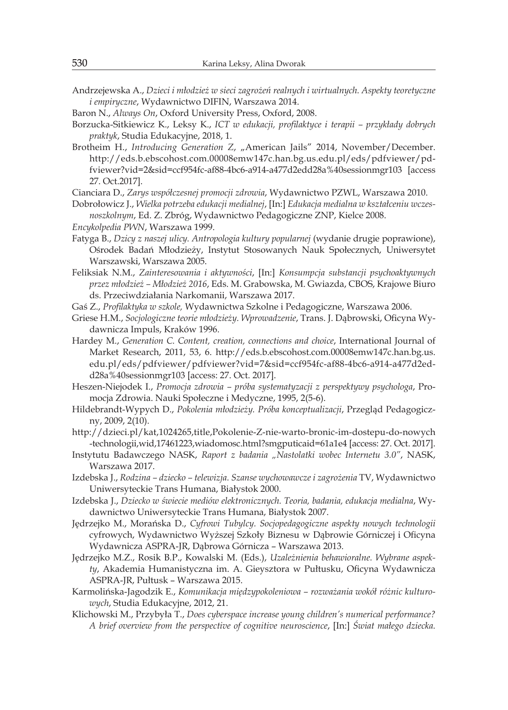Andrzejewska A., *Dzieci i młodzież w sieci zagrożeń realnych i wirtualnych. Aspekty teoretyczne i empiryczne*, Wydawnictwo DIFIN, Warszawa 2014.

Baron N., *Always On*, Oxford University Press, Oxford, 2008.

Borzucka-Sitkiewicz K., Leksy K., *ICT w edukacji, profilaktyce i terapii – przykłady dobrych praktyk*, Studia Edukacyjne, 2018, 1.

Brotheim H., *Introducing Generation Z*, "American Jails" 2014, November/December. http://eds.b.ebscohost.com.00008emw147c.han.bg.us.edu.pl/eds/pdfviewer/pdfviewer?vid=2&sid=ccf954fc-af88-4bc6-a914-a477d2edd28a%40sessionmgr103 [access 27. Oct.2017].

Cianciara D., *Zarys współczesnej promocji zdrowia*, Wydawnictwo PZWL, Warszawa 2010.

Dobrołowicz J., *Wielka potrzeba edukacji medialnej*, [In:] *Edukacja medialna w kształceniu wczesnoszkolnym*, Ed. Z. Zbróg, Wydawnictwo Pedagogiczne ZNP, Kielce 2008.

- *Encykolpedia PWN*, Warszawa 1999.
- Fatyga B., *Dzicy z naszej ulicy. Antropologia kultury popularnej* (wydanie drugie poprawione), Ośrodek Badań Młodzieży, Instytut Stosowanych Nauk Społecznych, Uniwersytet Warszawski, Warszawa 2005.
- Feliksiak N.M., *Zainteresowania i aktywności*, [In:] *Konsumpcja substancji psychoaktywnych przez młodzież – Młodzież 2016*, Eds. M. Grabowska, M. Gwiazda, CBOS, Krajowe Biuro ds. Przeciwdziałania Narkomanii, Warszawa 2017.
- Gaś Z., *Profilaktyka w szkole,* Wydawnictwa Szkolne i Pedagogiczne, Warszawa 2006.
- Griese H.M., *Socjologiczne teorie młodzieży. Wprowadzenie*, Trans. J. Dąbrowski, Oficyna Wydawnicza Impuls, Kraków 1996.
- Hardey M., *Generation C. Content, creation, connections and choice*, International Journal of Market Research, 2011, 53, 6. http://eds.b.ebscohost.com.00008emw147c.han.bg.us. edu.pl/eds/pdfviewer/pdfviewer?vid=7&sid=ccf954fc-af88-4bc6-a914-a477d2edd28a%40sessionmgr103 [access: 27. Oct. 2017].
- Heszen-Niejodek I., *Promocja zdrowia próba systematyzacji z perspektywy psychologa*, Promocja Zdrowia. Nauki Społeczne i Medyczne, 1995, 2(5-6).
- Hildebrandt-Wypych D., *Pokolenia młodzieży. Próba konceptualizacji*, Przegląd Pedagogiczny, 2009, 2(10).
- http://dzieci.pl/kat,1024265,title,Pokolenie-Z-nie-warto-bronic-im-dostepu-do-nowych -technologii,wid,17461223,wiadomosc.html?smgputicaid=61a1e4 [access: 27. Oct. 2017].
- Instytutu Badawczego NASK, *Raport z badania "Nastolatki wobec Internetu 3.0"*, NASK, Warszawa 2017.
- Izdebska J., *Rodzina dziecko telewizja. Szanse wychowawcze i zagrożenia* TV, Wydawnictwo Uniwersyteckie Trans Humana, Białystok 2000.
- Izdebska J., *Dziecko w świecie mediów elektronicznych. Teoria, badania, edukacja medialna*, Wydawnictwo Uniwersyteckie Trans Humana, Białystok 2007.
- Jędrzejko M., Morańska D., *Cyfrowi Tubylcy. Socjopedagogiczne aspekty nowych technologii*  cyfrowych, Wydawnictwo Wyższej Szkoły Biznesu w Dąbrowie Górniczej i Oficyna Wydawnicza ASPRA-JR, Dąbrowa Górnicza – Warszawa 2013.
- Jędrzejko M.Z., Rosik B.P., Kowalski M. (Eds.), *Uzależnienia behawioralne. Wybrane aspekty*, Akademia Humanistyczna im. A. Gieysztora w Pułtusku, Oficyna Wydawnicza ASPRA-JR, Pułtusk – Warszawa 2015.
- Karmolińska-Jagodzik E., *Komunikacja międzypokoleniowa rozważania wokół różnic kulturowych*, Studia Edukacyjne, 2012, 21.
- Klichowski M., Przybyła T., *Does cyberspace increase young children's numerical performance? A brief overview from the perspective of cognitive neuroscience*, [In:] *Świat małego dziecka.*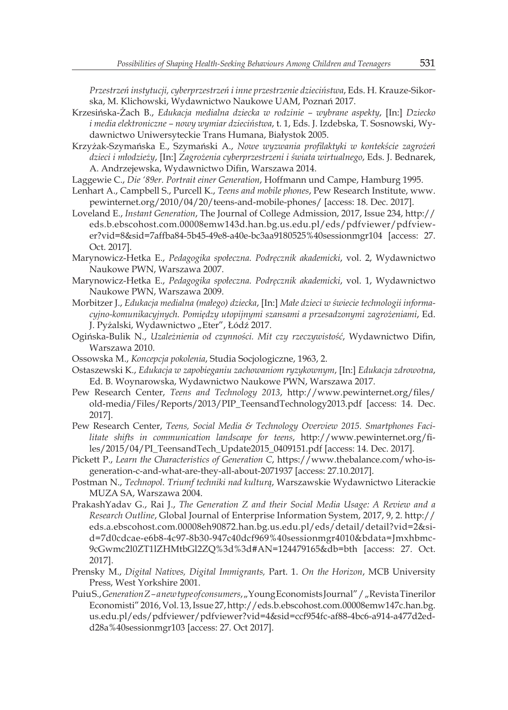*Przestrzeń instytucji, cyberprzestrzeń i inne przestrzenie dzieciństwa*, Eds. H. Krauze-Sikorska, M. Klichowski, Wydawnictwo Naukowe UAM, Poznań 2017.

- Krzesińska-Żach B., *Edukacja medialna dziecka w rodzinie wybrane aspekty*, [In:] *Dziecko i media elektroniczne – nowy wymiar dzieciństwa*, t. 1, Eds. J. Izdebska, T. Sosnowski, Wydawnictwo Uniwersyteckie Trans Humana, Białystok 2005.
- Krzyżak-Szymańska E., Szymański A., *Nowe wyzwania profilaktyki w kontekście zagrożeń dzieci i młodzieży*, [In:] *Zagrożenia cyberprzestrzeni i świata wirtualnego*, Eds. J. Bednarek, A. Andrzejewska, Wydawnictwo Difin, Warszawa 2014.
- Laggewie C., *Die '89er. Portrait einer Generation*, Hoffmann und Campe, Hamburg 1995.
- Lenhart A., Campbell S., Purcell K., *Teens and mobile phones*, Pew Research Institute, www. pewinternet.org/2010/04/20/teens-and-mobile-phones/ [access: 18. Dec. 2017].
- Loveland E., *Instant Generation*, The Journal of College Admission, 2017, Issue 234, http:// eds.b.ebscohost.com.00008emw143d.han.bg.us.edu.pl/eds/pdfviewer/pdfviewer?vid=8&sid=7affba84-5b45-49e8-a40e-bc3aa9180525%40sessionmgr104 [access: 27. Oct. 2017].
- Marynowicz-Hetka E., *Pedagogika społeczna. Podręcznik akademicki*, vol. 2, Wydawnictwo Naukowe PWN, Warszawa 2007.
- Marynowicz-Hetka E., *Pedagogika społeczna. Podręcznik akademicki*, vol. 1, Wydawnictwo Naukowe PWN, Warszawa 2009.
- Morbitzer J., *Edukacja medialna (małego) dziecka*, [In:] *Małe dzieci w świecie technologii informacyjno-komunikacyjnych. Pomiędzy utopijnymi szansami a przesadzonymi zagrożeniami*, Ed. J. Pyżalski, Wydawnictwo "Eter", Łódź 2017.
- Ogińska-Bulik N., *Uzależnienia od czynności. Mit czy rzeczywistość*, Wydawnictwo Difin, Warszawa 2010.
- Ossowska M., *Koncepcja pokolenia*, Studia Socjologiczne, 1963, 2.
- Ostaszewski K., *Edukacja w zapobieganiu zachowaniom ryzykownym*, [In:] *Edukacja zdrowotna*, Ed. B. Woynarowska, Wydawnictwo Naukowe PWN, Warszawa 2017.
- Pew Research Center, *Teens and Technology 2013*, http://www.pewinternet.org/files/ old-media/Files/Reports/2013/PIP\_TeensandTechnology2013.pdf [access: 14. Dec. 2017].
- Pew Research Center, *Teens, Social Media & Technology Overview 2015. Smartphones Facilitate shifts in communication landscape for teens*, http://www.pewinternet.org/files/2015/04/PI\_TeensandTech\_Update2015\_0409151.pdf [access: 14. Dec. 2017].
- Pickett P., *Learn the Characteristics of Generation C*, https://www.thebalance.com/who-isgeneration-c-and-what-are-they-all-about-2071937 [access: 27.10.2017].
- Postman N., *Technopol. Triumf techniki nad kulturą*, Warszawskie Wydawnictwo Literackie MUZA SA, Warszawa 2004.
- PrakashYadav G., Rai J., *The Generation Z and their Social Media Usage: A Review and a Research Outline*, Global Journal of Enterprise Information System, 2017, 9, 2. http:// eds.a.ebscohost.com.00008eh90872.han.bg.us.edu.pl/eds/detail/detail?vid=2&sid=7d0cdcae-e6b8-4c97-8b30-947c40dcf969%40sessionmgr4010&bdata=Jmxhbmc-9cGwmc2l0ZT1lZHMtbGl2ZQ%3d%3d#AN=124479165&db=bth [access: 27. Oct. 2017].
- Prensky M., *Digital Natives, Digital Immigrants,* Part. 1. *On the Horizon*, MCB University Press, West Yorkshire 2001.
- Puiu S., *Generation Z a new type of consumers*, "Young Economists Journal" / "Revista Tinerilor Economisti" 2016, Vol. 13, Issue 27, http://eds.b.ebscohost.com.00008emw147c.han.bg. us.edu.pl/eds/pdfviewer/pdfviewer?vid=4&sid=ccf954fc-af88-4bc6-a914-a477d2edd28a%40sessionmgr103 [access: 27. Oct 2017].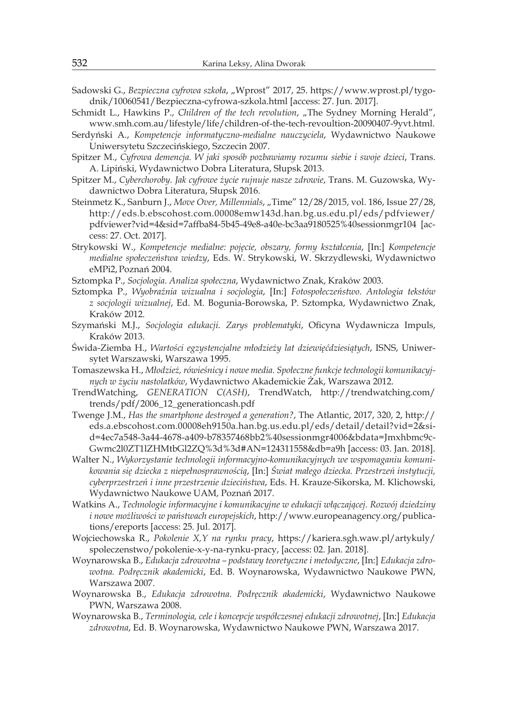- Sadowski G., *Bezpieczna cyfrowa szkoła, "Wprost"* 2017, 25. https://www.wprost.pl/tygodnik/10060541/Bezpieczna-cyfrowa-szkola.html [access: 27. Jun. 2017].
- Schmidt L., Hawkins P., *Children of the tech revolution*, "The Sydney Morning Herald", www.smh.com.au/lifestyle/life/children-of-the-tech-revoultion-20090407-9yvt.html.
- Serdyński A., *Kompetencje informatyczno-medialne nauczyciela*, Wydawnictwo Naukowe Uniwersytetu Szczecińskiego, Szczecin 2007.
- Spitzer M., *Cyfrowa demencja. W jaki sposób pozbawiamy rozumu siebie i swoje dzieci*, Trans. A. Lipiński, Wydawnictwo Dobra Literatura, Słupsk 2013.
- Spitzer M., *Cyberchoroby. Jak cyfrowe życie rujnuje nasze zdrowie*, Trans. M. Guzowska, Wydawnictwo Dobra Literatura, Słupsk 2016.
- Steinmetz K., Sanburn J., *Move Over, Millennials, "Time"* 12/28/2015, vol. 186, Issue 27/28, http://eds.b.ebscohost.com.00008emw143d.han.bg.us.edu.pl/eds/pdfviewer/ pdfviewer?vid=4&sid=7affba84-5b45-49e8-a40e-bc3aa9180525%40sessionmgr104 [access: 27. Oct. 2017].
- Strykowski W., *Kompetencje medialne: pojęcie, obszary, formy kształcenia*, [In:] *Kompetencje medialne społeczeństwa wiedzy*, Eds. W. Strykowski, W. Skrzydlewski, Wydawnictwo eMPi2,Poznań 2004.
- Sztompka P., *Socjologia. Analiza społeczna*, Wydawnictwo Znak, Kraków 2003.
- Sztompka P., *Wyobraźnia wizualna i socjologia*, [In:] *Fotospołeczeństwo. Antologia tekstów z socjologii wizualnej*, Ed. M. Bogunia-Borowska, P. Sztompka, Wydawnictwo Znak, Kraków 2012.
- Szymański M.J., *Socjologia edukacji. Zarys problematyki*, Oficyna Wydawnicza Impuls, Kraków 2013.
- Świda-Ziemba H., *Wartości egzystencjalne młodzieży lat dziewięćdziesiątych*, ISNS, Uniwersytet Warszawski, Warszawa 1995.
- Tomaszewska H., *Młodzież, rówieśnicy i nowe media. Społeczne funkcje technologii komunikacyjnych w życiu nastolatków*, Wydawnictwo Akademickie Żak, Warszawa 2012.
- TrendWatching, *GENERATION C(ASH)*, TrendWatch, http://trendwatching.com/ trends/pdf/2006\_12\_generationcash.pdf
- Twenge J.M., *Has the smartphone destroyed a generation?*, The Atlantic, 2017, 320, 2, http:// eds.a.ebscohost.com.00008eh9150a.han.bg.us.edu.pl/eds/detail/detail?vid=2&sid=4ec7a548-3a44-4678-a409-b78357468bb2%40sessionmgr4006&bdata=Jmxhbmc9c-Gwmc2l0ZT1lZHMtbGl2ZQ%3d%3d#AN=124311558&db=a9h [access: 03. Jan. 2018].
- Walter N., *Wykorzystanie technologii informacyjno-komunikacyjnych we wspomaganiu komunikowania się dziecka z niepełnosprawnością*, [In:] *Świat małego dziecka. Przestrzeń instytucji, cyberprzestrzeń i inne przestrzenie dzieciństwa*, Eds. H. Krauze-Sikorska, M. Klichowski, Wydawnictwo Naukowe UAM, Poznań 2017.
- Watkins A., *Technologie informacyjne i komunikacyjne w edukacji włączającej. Rozwój dziedziny i nowe możliwości w państwach europejskich*, http://www.europeanagency.org/publications/ereports [access: 25. Jul. 2017].
- Wojciechowska R., *Pokolenie X,Y na rynku pracy*, https://kariera.sgh.waw.pl/artykuly/ spoleczenstwo/pokolenie-x-y-na-rynku-pracy, [access: 02. Jan. 2018].
- Woynarowska B., *Edukacja zdrowotna podstawy teoretyczne i metodyczne*, [In:] *Edukacja zdrowotna. Podręcznik akademicki*, Ed. B. Woynarowska, Wydawnictwo Naukowe PWN, Warszawa 2007.
- Woynarowska B., *Edukacja zdrowotna. Podręcznik akademicki*, Wydawnictwo Naukowe PWN, Warszawa 2008.
- Woynarowska B., *Terminologia, cele i koncepcje współczesnej edukacji zdrowotnej*, [In:] *Edukacja zdrowotna*, Ed. B. Woynarowska, Wydawnictwo Naukowe PWN, Warszawa 2017.